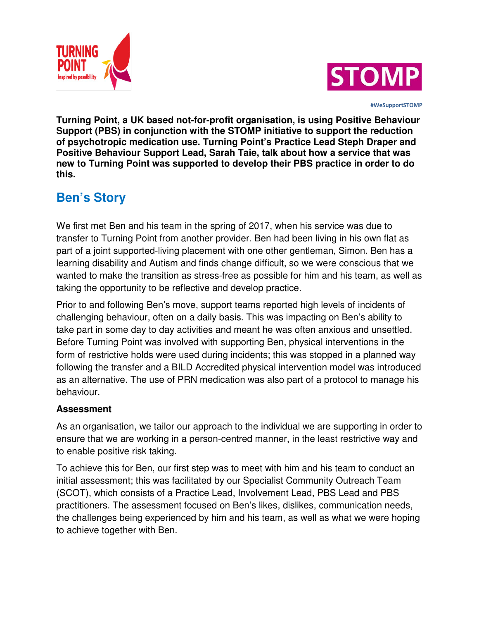



 **#WeSupportSTOMP**

**Turning Point, a UK based not-for-profit organisation, is using Positive Behaviour Support (PBS) in conjunction with the STOMP initiative to support the reduction of psychotropic medication use. Turning Point's Practice Lead Steph Draper and Positive Behaviour Support Lead, Sarah Taie, talk about how a service that was new to Turning Point was supported to develop their PBS practice in order to do this.**

# **Ben's Story**

We first met Ben and his team in the spring of 2017, when his service was due to transfer to Turning Point from another provider. Ben had been living in his own flat as part of a joint supported-living placement with one other gentleman, Simon. Ben has a learning disability and Autism and finds change difficult, so we were conscious that we wanted to make the transition as stress-free as possible for him and his team, as well as taking the opportunity to be reflective and develop practice.

Prior to and following Ben's move, support teams reported high levels of incidents of challenging behaviour, often on a daily basis. This was impacting on Ben's ability to take part in some day to day activities and meant he was often anxious and unsettled. Before Turning Point was involved with supporting Ben, physical interventions in the form of restrictive holds were used during incidents; this was stopped in a planned way following the transfer and a BILD Accredited physical intervention model was introduced as an alternative. The use of PRN medication was also part of a protocol to manage his behaviour.

## **Assessment**

As an organisation, we tailor our approach to the individual we are supporting in order to ensure that we are working in a person-centred manner, in the least restrictive way and to enable positive risk taking.

To achieve this for Ben, our first step was to meet with him and his team to conduct an initial assessment; this was facilitated by our Specialist Community Outreach Team (SCOT), which consists of a Practice Lead, Involvement Lead, PBS Lead and PBS practitioners. The assessment focused on Ben's likes, dislikes, communication needs, the challenges being experienced by him and his team, as well as what we were hoping to achieve together with Ben.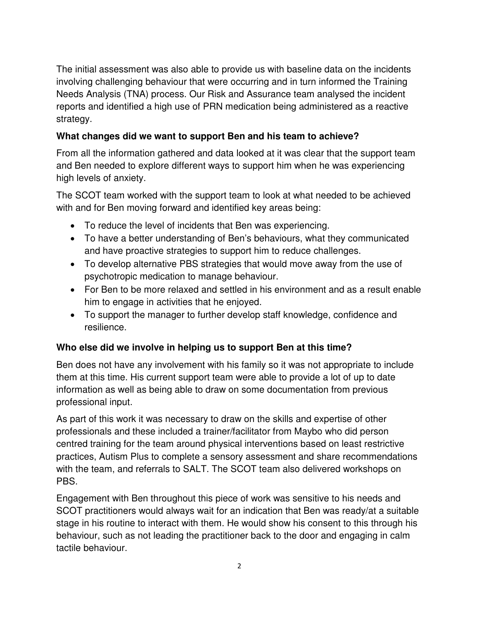The initial assessment was also able to provide us with baseline data on the incidents involving challenging behaviour that were occurring and in turn informed the Training Needs Analysis (TNA) process. Our Risk and Assurance team analysed the incident reports and identified a high use of PRN medication being administered as a reactive strategy.

## **What changes did we want to support Ben and his team to achieve?**

From all the information gathered and data looked at it was clear that the support team and Ben needed to explore different ways to support him when he was experiencing high levels of anxiety.

The SCOT team worked with the support team to look at what needed to be achieved with and for Ben moving forward and identified key areas being:

- To reduce the level of incidents that Ben was experiencing.
- To have a better understanding of Ben's behaviours, what they communicated and have proactive strategies to support him to reduce challenges.
- To develop alternative PBS strategies that would move away from the use of psychotropic medication to manage behaviour.
- For Ben to be more relaxed and settled in his environment and as a result enable him to engage in activities that he enjoyed.
- To support the manager to further develop staff knowledge, confidence and resilience.

## **Who else did we involve in helping us to support Ben at this time?**

Ben does not have any involvement with his family so it was not appropriate to include them at this time. His current support team were able to provide a lot of up to date information as well as being able to draw on some documentation from previous professional input.

As part of this work it was necessary to draw on the skills and expertise of other professionals and these included a trainer/facilitator from Maybo who did person centred training for the team around physical interventions based on least restrictive practices, Autism Plus to complete a sensory assessment and share recommendations with the team, and referrals to SALT. The SCOT team also delivered workshops on PBS.

Engagement with Ben throughout this piece of work was sensitive to his needs and SCOT practitioners would always wait for an indication that Ben was ready/at a suitable stage in his routine to interact with them. He would show his consent to this through his behaviour, such as not leading the practitioner back to the door and engaging in calm tactile behaviour.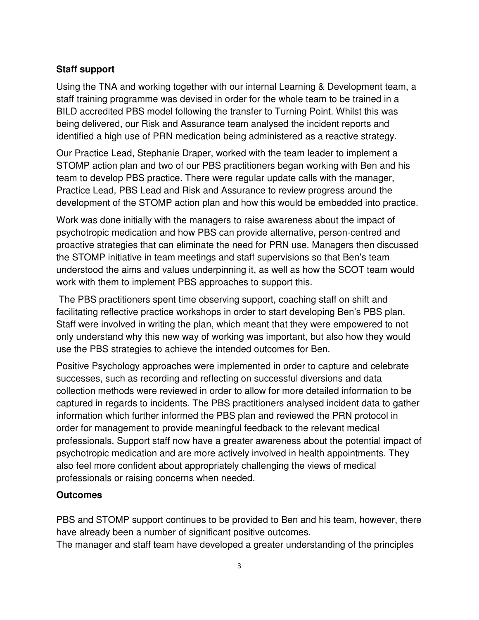## **Staff support**

Using the TNA and working together with our internal Learning & Development team, a staff training programme was devised in order for the whole team to be trained in a BILD accredited PBS model following the transfer to Turning Point. Whilst this was being delivered, our Risk and Assurance team analysed the incident reports and identified a high use of PRN medication being administered as a reactive strategy.

Our Practice Lead, Stephanie Draper, worked with the team leader to implement a STOMP action plan and two of our PBS practitioners began working with Ben and his team to develop PBS practice. There were regular update calls with the manager, Practice Lead, PBS Lead and Risk and Assurance to review progress around the development of the STOMP action plan and how this would be embedded into practice.

Work was done initially with the managers to raise awareness about the impact of psychotropic medication and how PBS can provide alternative, person-centred and proactive strategies that can eliminate the need for PRN use. Managers then discussed the STOMP initiative in team meetings and staff supervisions so that Ben's team understood the aims and values underpinning it, as well as how the SCOT team would work with them to implement PBS approaches to support this.

The PBS practitioners spent time observing support, coaching staff on shift and facilitating reflective practice workshops in order to start developing Ben's PBS plan. Staff were involved in writing the plan, which meant that they were empowered to not only understand why this new way of working was important, but also how they would use the PBS strategies to achieve the intended outcomes for Ben.

Positive Psychology approaches were implemented in order to capture and celebrate successes, such as recording and reflecting on successful diversions and data collection methods were reviewed in order to allow for more detailed information to be captured in regards to incidents. The PBS practitioners analysed incident data to gather information which further informed the PBS plan and reviewed the PRN protocol in order for management to provide meaningful feedback to the relevant medical professionals. Support staff now have a greater awareness about the potential impact of psychotropic medication and are more actively involved in health appointments. They also feel more confident about appropriately challenging the views of medical professionals or raising concerns when needed.

#### **Outcomes**

PBS and STOMP support continues to be provided to Ben and his team, however, there have already been a number of significant positive outcomes. The manager and staff team have developed a greater understanding of the principles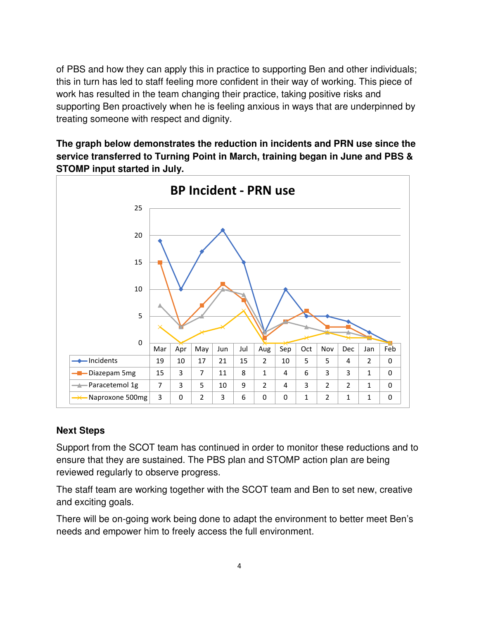of PBS and how they can apply this in practice to supporting Ben and other individuals; this in turn has led to staff feeling more confident in their way of working. This piece of work has resulted in the team changing their practice, taking positive risks and supporting Ben proactively when he is feeling anxious in ways that are underpinned by treating someone with respect and dignity.

**The graph below demonstrates the reduction in incidents and PRN use since the service transferred to Turning Point in March, training began in June and PBS & STOMP input started in July.**



#### **Next Steps**

Support from the SCOT team has continued in order to monitor these reductions and to ensure that they are sustained. The PBS plan and STOMP action plan are being reviewed regularly to observe progress.

The staff team are working together with the SCOT team and Ben to set new, creative and exciting goals.

There will be on-going work being done to adapt the environment to better meet Ben's needs and empower him to freely access the full environment.